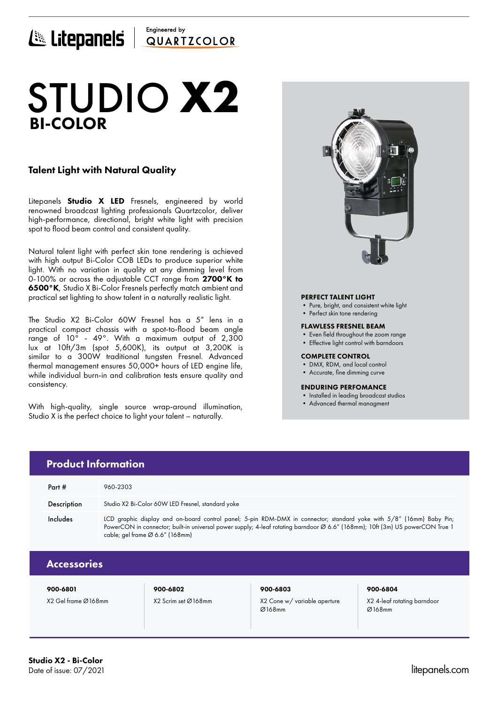### Engineered by E Litepanels QUARTICOLOR

# BI-COLOR STUDIO **X2**

### Talent Light with Natural Quality

Litepanels **Studio X LED** Fresnels, engineered by world renowned broadcast lighting professionals Quartzcolor, deliver high-performance, directional, bright white light with precision spot to flood beam control and consistent quality.

Natural talent light with perfect skin tone rendering is achieved with high output Bi-Color COB LEDs to produce superior white light. With no variation in quality at any dimming level from 0-100% or across the adjustable CCT range from 2700°K to 6500°K, Studio X Bi-Color Fresnels perfectly match ambient and practical set lighting to show talent in a naturally realistic light.

The Studio X2 Bi-Color 60W Fresnel has a 5" lens in a practical compact chassis with a spot-to-flood beam angle range of 10° - 49°. With a maximum output of 2,300 lux at 10ft/3m (spot 5,600K), its output at 3,200K is similar to a 300W traditional tungsten Fresnel. Advanced thermal management ensures 50,000+ hours of LED engine life, while individual burn-in and calibration tests ensure quality and consistency.

With high-quality, single source wrap-around illumination, Studio X is the perfect choice to light your talent – naturally.



#### PERFECT TALENT LIGHT

- Pure, bright, and consistent white light
- Perfect skin tone rendering

#### FLAWLESS FRESNEL BEAM

- Even field throughout the zoom range
- Effective light control with barndoors

#### COMPLETE CONTROL

- DMX, RDM, and local control
- Accurate, fine dimming curve

#### ENDURING PERFOMANCE

- Installed in leading broadcast studios
- Advanced thermal managment

| <b>Product Information</b> |                                                                                                                                                                                                                                                                                          |  |  |  |  |  |
|----------------------------|------------------------------------------------------------------------------------------------------------------------------------------------------------------------------------------------------------------------------------------------------------------------------------------|--|--|--|--|--|
| Part #                     | 960-2303                                                                                                                                                                                                                                                                                 |  |  |  |  |  |
| Description                | Studio X2 Bi-Color 60W LED Fresnel, standard yoke                                                                                                                                                                                                                                        |  |  |  |  |  |
| Includes                   | LCD graphic display and on-board control panel; 5-pin RDM-DMX in connector; standard yoke with 5/8" (16mm) Baby Pin;<br>PowerCON in connector; built-in universal power supply; 4-leaf rotating barndoor Ø 6.6" (168mm); 10ft (3m) US powerCON True 1<br>cable; gel frame Ø 6.6" (168mm) |  |  |  |  |  |
| <b>Accessories</b>         |                                                                                                                                                                                                                                                                                          |  |  |  |  |  |
|                            |                                                                                                                                                                                                                                                                                          |  |  |  |  |  |

Ø168mm

900-6801 900-6802 900-6803 900-6804

X2 Gel frame Ø168mm X2 Scrim set Ø168mm X2 Cone w/ variable aperture

X2 4-leaf rotating barndoor

Ø168mm